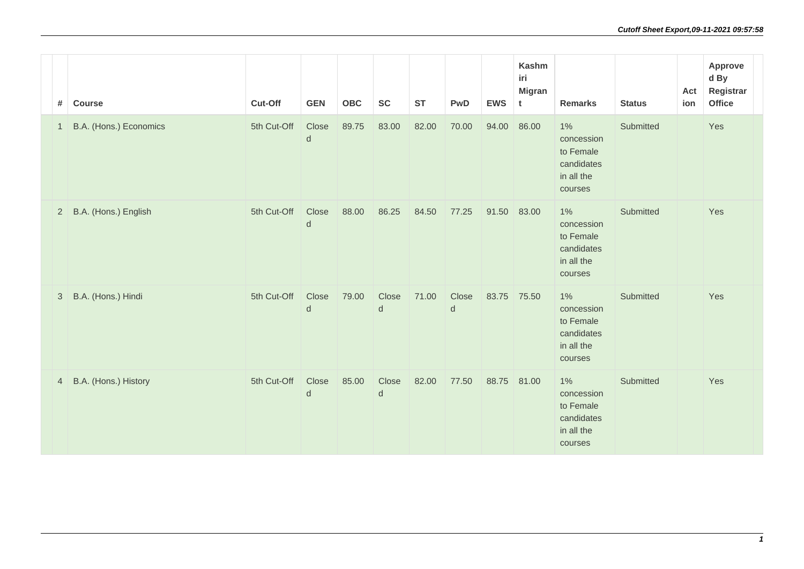| #              | Course                 | Cut-Off     | <b>GEN</b>            | OBC   | <b>SC</b>        | <b>ST</b> | <b>PwD</b>         | <b>EWS</b>  | <b>Kashm</b><br>iri<br><b>Migran</b><br>t | <b>Remarks</b>                                                          | <b>Status</b> | Act<br>ion | Approve<br>d By<br>Registrar<br>Office |
|----------------|------------------------|-------------|-----------------------|-------|------------------|-----------|--------------------|-------------|-------------------------------------------|-------------------------------------------------------------------------|---------------|------------|----------------------------------------|
| $\overline{1}$ | B.A. (Hons.) Economics | 5th Cut-Off | Close<br>$\mathsf{d}$ | 89.75 | 83.00            | 82.00     | 70.00              | 94.00       | 86.00                                     | $1\%$<br>concession<br>to Female<br>candidates<br>in all the<br>courses | Submitted     |            | Yes                                    |
| $\overline{2}$ | B.A. (Hons.) English   | 5th Cut-Off | Close<br>d            | 88.00 | 86.25            | 84.50     | 77.25              | 91.50 83.00 |                                           | $1\%$<br>concession<br>to Female<br>candidates<br>in all the<br>courses | Submitted     |            | Yes                                    |
| 3              | B.A. (Hons.) Hindi     | 5th Cut-Off | Close<br>$\mathsf{d}$ | 79.00 | Close<br>$\sf d$ | 71.00     | Close<br>${\sf d}$ | 83.75 75.50 |                                           | $1\%$<br>concession<br>to Female<br>candidates<br>in all the<br>courses | Submitted     |            | Yes                                    |
| $\overline{4}$ | B.A. (Hons.) History   | 5th Cut-Off | Close<br>d            | 85.00 | Close<br>d       | 82.00     | 77.50              | 88.75 81.00 |                                           | $1\%$<br>concession<br>to Female<br>candidates<br>in all the<br>courses | Submitted     |            | Yes                                    |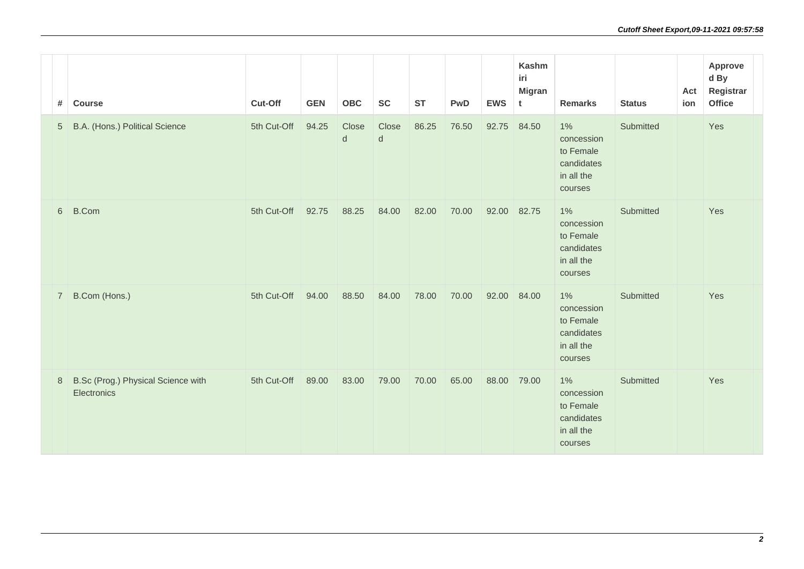| #              | <b>Course</b>                                     | Cut-Off     | <b>GEN</b> | OBC              | <b>SC</b>                            | <b>ST</b> | <b>PwD</b> | <b>EWS</b> | <b>Kashm</b><br>iri<br><b>Migran</b><br>t | <b>Remarks</b>                                                          | <b>Status</b> | Act<br>ion | Approve<br>d By<br>Registrar<br>Office |
|----------------|---------------------------------------------------|-------------|------------|------------------|--------------------------------------|-----------|------------|------------|-------------------------------------------|-------------------------------------------------------------------------|---------------|------------|----------------------------------------|
| 5              | B.A. (Hons.) Political Science                    | 5th Cut-Off | 94.25      | Close<br>$\sf d$ | Close<br>$\operatorname{\mathsf{d}}$ | 86.25     | 76.50      | 92.75      | 84.50                                     | $1\%$<br>concession<br>to Female<br>candidates<br>in all the<br>courses | Submitted     |            | Yes                                    |
| 6              | <b>B.Com</b>                                      | 5th Cut-Off | 92.75      | 88.25            | 84.00                                | 82.00     | 70.00      | 92.00      | 82.75                                     | $1\%$<br>concession<br>to Female<br>candidates<br>in all the<br>courses | Submitted     |            | Yes                                    |
| $\overline{7}$ | B.Com (Hons.)                                     | 5th Cut-Off | 94.00      | 88.50            | 84.00                                | 78.00     | 70.00      | 92.00      | 84.00                                     | $1\%$<br>concession<br>to Female<br>candidates<br>in all the<br>courses | Submitted     |            | Yes                                    |
| 8              | B.Sc (Prog.) Physical Science with<br>Electronics | 5th Cut-Off | 89.00      | 83.00            | 79.00                                | 70.00     | 65.00      | 88.00      | 79.00                                     | $1\%$<br>concession<br>to Female<br>candidates<br>in all the<br>courses | Submitted     |            | Yes                                    |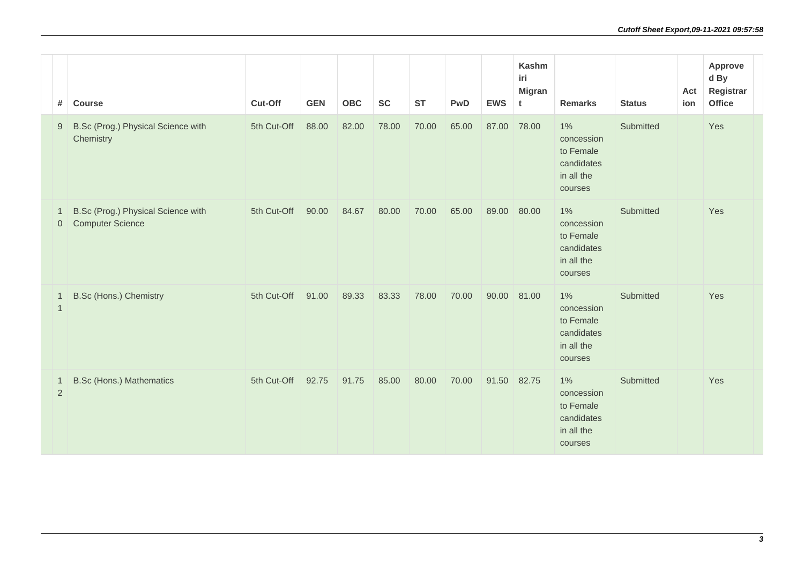| #                                | <b>Course</b>                                                 | Cut-Off     | <b>GEN</b> | <b>OBC</b> | <b>SC</b> | <b>ST</b> | <b>PwD</b> | <b>EWS</b>  | <b>Kashm</b><br>iri<br><b>Migran</b><br>t | <b>Remarks</b>                                                          | <b>Status</b> | Act<br>ion | Approve<br>d By<br>Registrar<br><b>Office</b> |
|----------------------------------|---------------------------------------------------------------|-------------|------------|------------|-----------|-----------|------------|-------------|-------------------------------------------|-------------------------------------------------------------------------|---------------|------------|-----------------------------------------------|
| 9                                | B.Sc (Prog.) Physical Science with<br>Chemistry               | 5th Cut-Off | 88.00      | 82.00      | 78.00     | 70.00     | 65.00      | 87.00       | 78.00                                     | $1\%$<br>concession<br>to Female<br>candidates<br>in all the<br>courses | Submitted     |            | Yes                                           |
| -1<br>$\overline{0}$             | B.Sc (Prog.) Physical Science with<br><b>Computer Science</b> | 5th Cut-Off | 90.00      | 84.67      | 80.00     | 70.00     | 65.00      | 89.00       | 80.00                                     | $1\%$<br>concession<br>to Female<br>candidates<br>in all the<br>courses | Submitted     |            | Yes                                           |
| -1<br>$\overline{1}$             | <b>B.Sc (Hons.) Chemistry</b>                                 | 5th Cut-Off | 91.00      | 89.33      | 83.33     | 78.00     | 70.00      | 90.00       | 81.00                                     | $1\%$<br>concession<br>to Female<br>candidates<br>in all the<br>courses | Submitted     |            | Yes                                           |
| $\overline{1}$<br>$\overline{2}$ | <b>B.Sc (Hons.) Mathematics</b>                               | 5th Cut-Off | 92.75      | 91.75      | 85.00     | 80.00     | 70.00      | 91.50 82.75 |                                           | $1\%$<br>concession<br>to Female<br>candidates<br>in all the<br>courses | Submitted     |            | Yes                                           |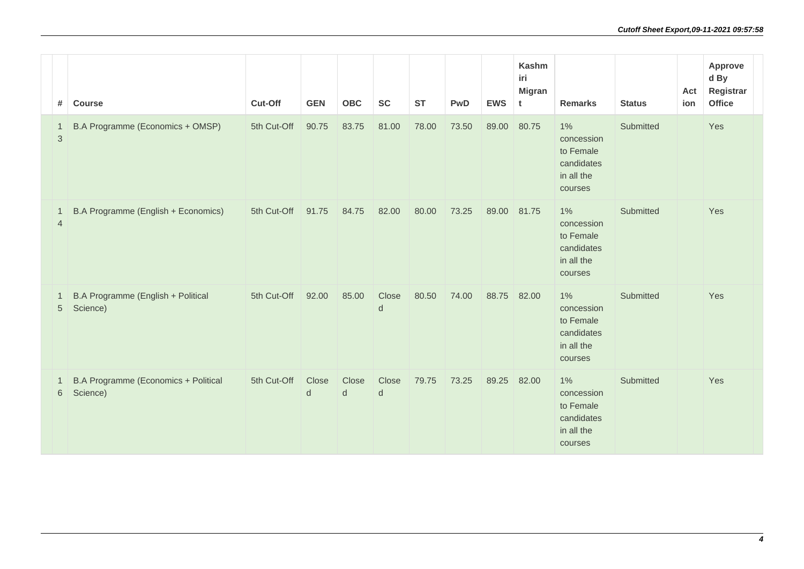| #                              | <b>Course</b>                                    | Cut-Off     | <b>GEN</b> | <b>OBC</b> | <b>SC</b>             | <b>ST</b> | <b>PwD</b> | <b>EWS</b> | Kashm<br>iri<br><b>Migran</b><br>t | <b>Remarks</b>                                                          | <b>Status</b> | Act<br>ion | <b>Approve</b><br>d By<br>Registrar<br><b>Office</b> |
|--------------------------------|--------------------------------------------------|-------------|------------|------------|-----------------------|-----------|------------|------------|------------------------------------|-------------------------------------------------------------------------|---------------|------------|------------------------------------------------------|
| -1<br>$\mathbf{3}$             | B.A Programme (Economics + OMSP)                 | 5th Cut-Off | 90.75      | 83.75      | 81.00                 | 78.00     | 73.50      | 89.00      | 80.75                              | $1\%$<br>concession<br>to Female<br>candidates<br>in all the<br>courses | Submitted     |            | Yes                                                  |
| $\mathbf{1}$<br>$\overline{4}$ | B.A Programme (English + Economics)              | 5th Cut-Off | 91.75      | 84.75      | 82.00                 | 80.00     | 73.25      | 89.00      | 81.75                              | $1\%$<br>concession<br>to Female<br>candidates<br>in all the<br>courses | Submitted     |            | Yes                                                  |
| 5                              | B.A Programme (English + Political<br>Science)   | 5th Cut-Off | 92.00      | 85.00      | Close<br>d            | 80.50     | 74.00      | 88.75      | 82.00                              | 1%<br>concession<br>to Female<br>candidates<br>in all the<br>courses    | Submitted     |            | Yes                                                  |
| -1<br>6                        | B.A Programme (Economics + Political<br>Science) | 5th Cut-Off | Close<br>d | Close<br>d | Close<br>$\mathsf{d}$ | 79.75     | 73.25      | 89.25      | 82.00                              | $1\%$<br>concession<br>to Female<br>candidates<br>in all the<br>courses | Submitted     |            | Yes                                                  |